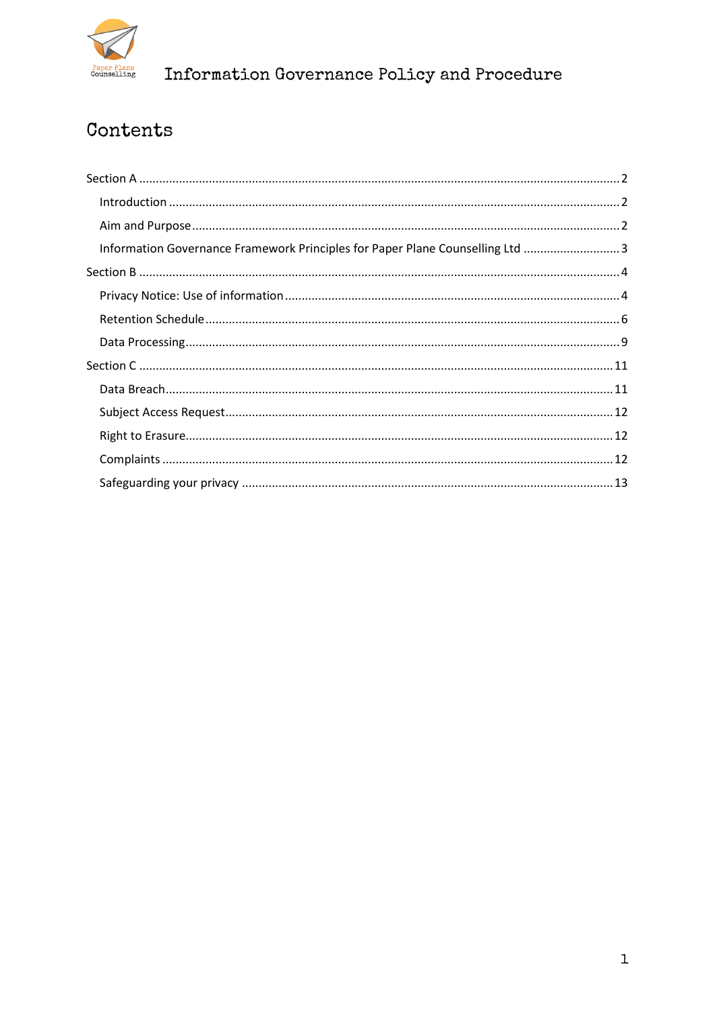

# Contents

| Information Governance Framework Principles for Paper Plane Counselling Ltd 3 |  |
|-------------------------------------------------------------------------------|--|
|                                                                               |  |
|                                                                               |  |
|                                                                               |  |
|                                                                               |  |
|                                                                               |  |
|                                                                               |  |
|                                                                               |  |
|                                                                               |  |
|                                                                               |  |
|                                                                               |  |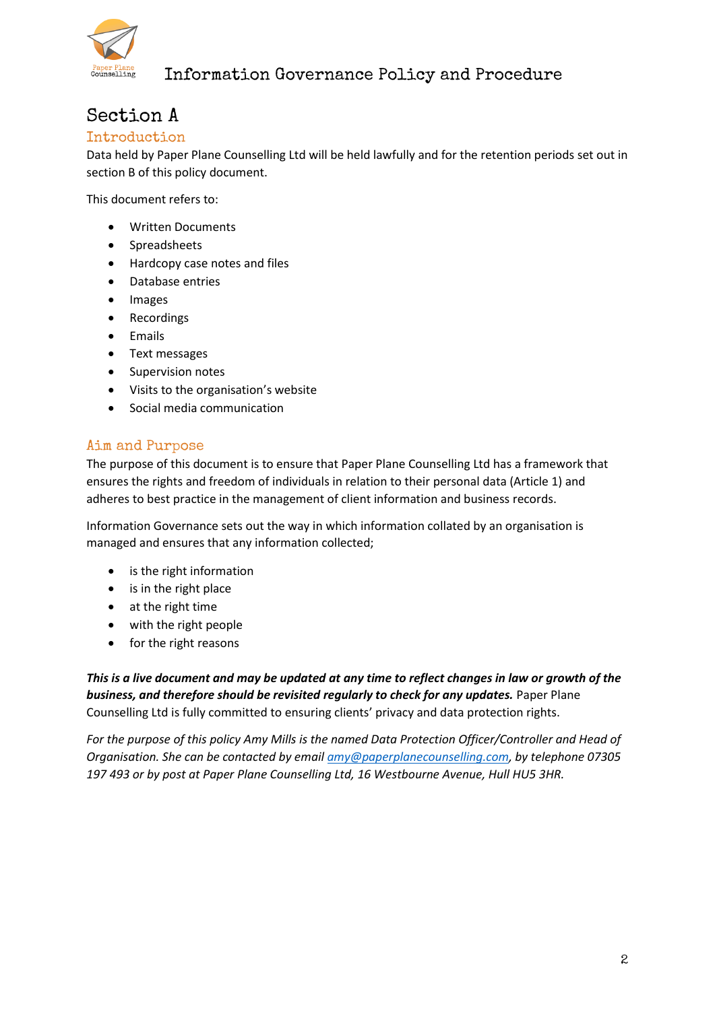

## <span id="page-1-0"></span>Section A

### <span id="page-1-1"></span>Introduction

Data held by Paper Plane Counselling Ltd will be held lawfully and for the retention periods set out in section B of this policy document.

This document refers to:

- Written Documents
- Spreadsheets
- Hardcopy case notes and files
- Database entries
- Images
- Recordings
- Emails
- Text messages
- Supervision notes
- Visits to the organisation's website
- Social media communication

### <span id="page-1-2"></span>Aim and Purpose

The purpose of this document is to ensure that Paper Plane Counselling Ltd has a framework that ensures the rights and freedom of individuals in relation to their personal data (Article 1) and adheres to best practice in the management of client information and business records.

Information Governance sets out the way in which information collated by an organisation is managed and ensures that any information collected;

- is the right information
- is in the right place
- at the right time
- with the right people
- for the right reasons

*This is a live document and may be updated at any time to reflect changes in law or growth of the business, and therefore should be revisited regularly to check for any updates.* Paper Plane Counselling Ltd is fully committed to ensuring clients' privacy and data protection rights.

*For the purpose of this policy Amy Mills is the named Data Protection Officer/Controller and Head of Organisation. She can be contacted by emai[l amy@paperplanecounselling.com,](mailto:amy@paperplanecounselling.com) by telephone 07305 197 493 or by post at Paper Plane Counselling Ltd, 16 Westbourne Avenue, Hull HU5 3HR.*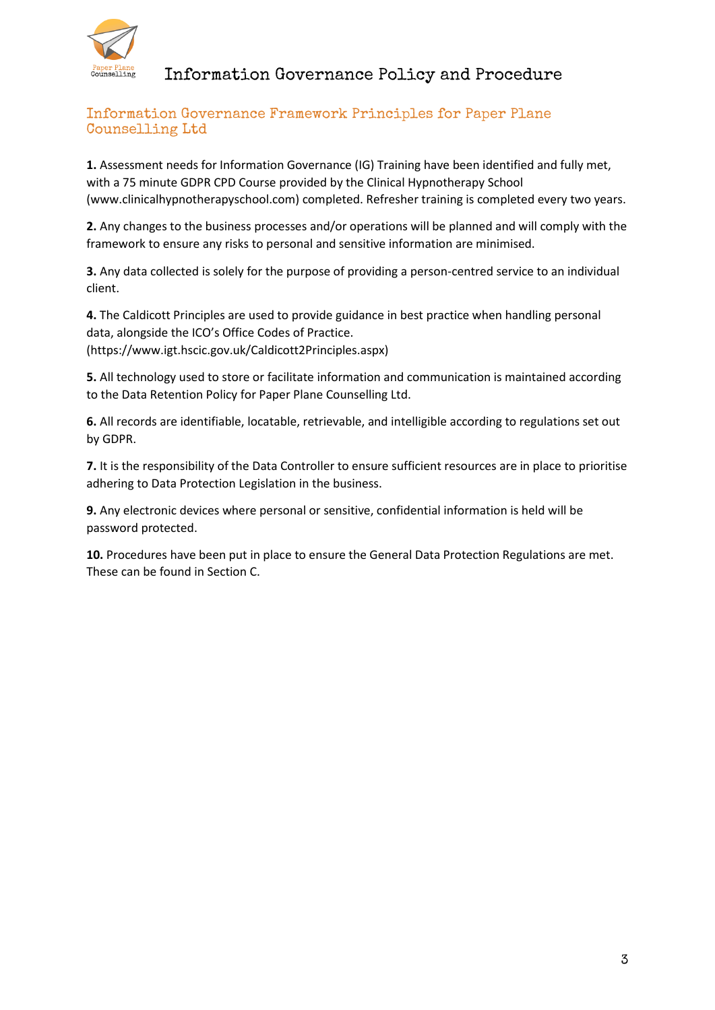

### <span id="page-2-0"></span>Information Governance Framework Principles for Paper Plane Counselling Ltd

**1.** Assessment needs for Information Governance (IG) Training have been identified and fully met, with a 75 minute GDPR CPD Course provided by the Clinical Hypnotherapy School [\(www.clinicalhypnotherapyschool.com\)](http://www.clinicalhypnotherapyschool.com/) completed. Refresher training is completed every two years.

**2.** Any changes to the business processes and/or operations will be planned and will comply with the framework to ensure any risks to personal and sensitive information are minimised.

**3.** Any data collected is solely for the purpose of providing a person-centred service to an individual client.

**4.** The Caldicott Principles are used to provide guidance in best practice when handling personal data, alongside the ICO's Office Codes of Practice. (https://www.igt.hscic.gov.uk/Caldicott2Principles.aspx)

**5.** All technology used to store or facilitate information and communication is maintained according to the Data Retention Policy for Paper Plane Counselling Ltd.

**6.** All records are identifiable, locatable, retrievable, and intelligible according to regulations set out by GDPR.

**7.** It is the responsibility of the Data Controller to ensure sufficient resources are in place to prioritise adhering to Data Protection Legislation in the business.

**9.** Any electronic devices where personal or sensitive, confidential information is held will be password protected.

**10.** Procedures have been put in place to ensure the General Data Protection Regulations are met. These can be found in Section C.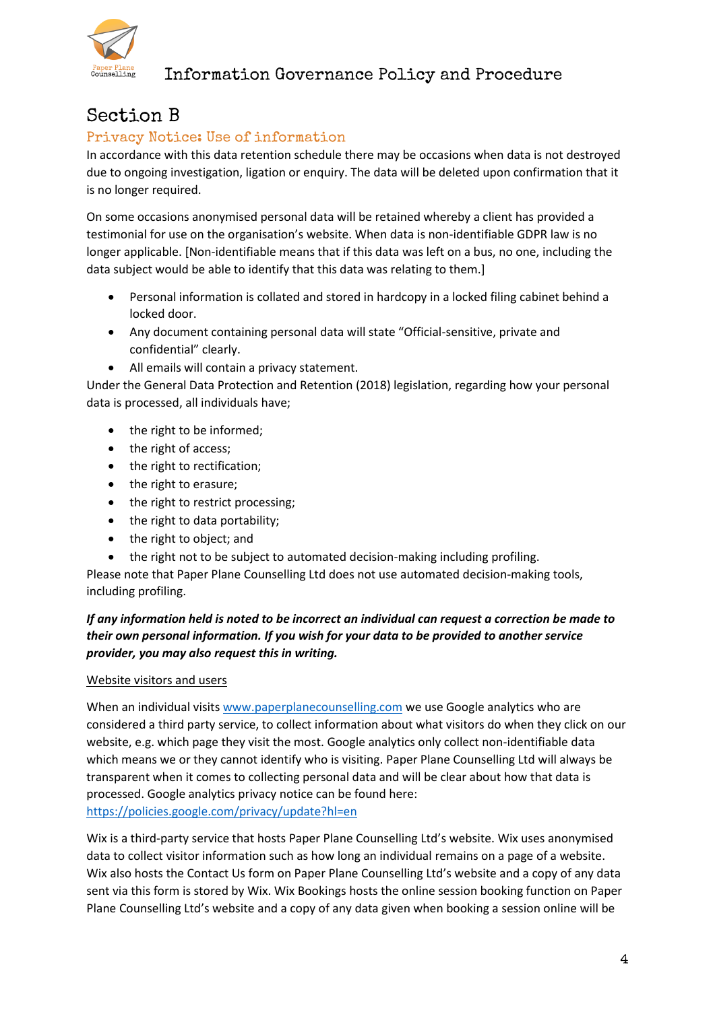

## <span id="page-3-0"></span>Section B

### <span id="page-3-1"></span>Privacy Notice: Use of information

In accordance with this data retention schedule there may be occasions when data is not destroyed due to ongoing investigation, ligation or enquiry. The data will be deleted upon confirmation that it is no longer required.

On some occasions anonymised personal data will be retained whereby a client has provided a testimonial for use on the organisation's website. When data is non-identifiable GDPR law is no longer applicable. [Non-identifiable means that if this data was left on a bus, no one, including the data subject would be able to identify that this data was relating to them.]

- Personal information is collated and stored in hardcopy in a locked filing cabinet behind a locked door.
- Any document containing personal data will state "Official-sensitive, private and confidential" clearly.
- All emails will contain a privacy statement.

Under the General Data Protection and Retention (2018) legislation, regarding how your personal data is processed, all individuals have;

- the right to be informed;
- the right of access;
- the right to rectification;
- the right to erasure:
- the right to restrict processing;
- the right to data portability;
- the right to object; and
- the right not to be subject to automated decision-making including profiling.

Please note that Paper Plane Counselling Ltd does not use automated decision-making tools, including profiling.

### *If any information held is noted to be incorrect an individual can request a correction be made to their own personal information. If you wish for your data to be provided to another service provider, you may also request this in writing.*

### Website visitors and users

When an individual visits [www.paperplanecounselling.com](http://www.paperplanecounselling.com/) we use Google analytics who are considered a third party service, to collect information about what visitors do when they click on our website, e.g. which page they visit the most. Google analytics only collect non-identifiable data which means we or they cannot identify who is visiting. Paper Plane Counselling Ltd will always be transparent when it comes to collecting personal data and will be clear about how that data is processed. Google analytics privacy notice can be found here: <https://policies.google.com/privacy/update?hl=en>

Wix is a third-party service that hosts Paper Plane Counselling Ltd's website. Wix uses anonymised data to collect visitor information such as how long an individual remains on a page of a website. Wix also hosts the Contact Us form on Paper Plane Counselling Ltd's website and a copy of any data sent via this form is stored by Wix. Wix Bookings hosts the online session booking function on Paper Plane Counselling Ltd's website and a copy of any data given when booking a session online will be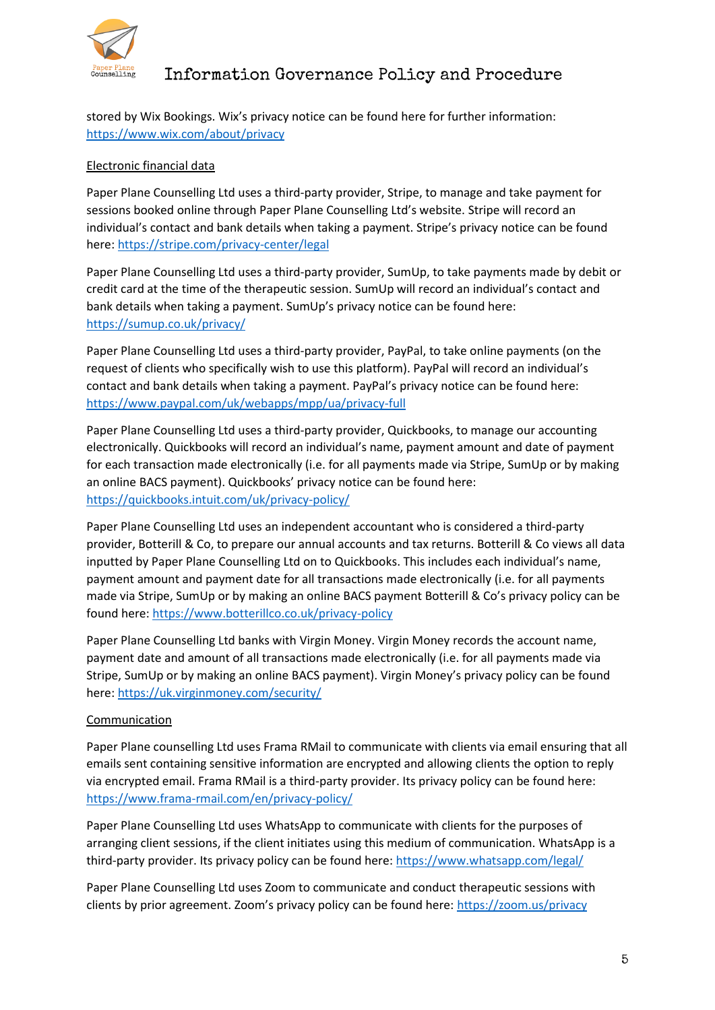

stored by Wix Bookings. Wix's privacy notice can be found here for further information: <https://www.wix.com/about/privacy>

### Electronic financial data

Paper Plane Counselling Ltd uses a third-party provider, Stripe, to manage and take payment for sessions booked online through Paper Plane Counselling Ltd's website. Stripe will record an individual's contact and bank details when taking a payment. Stripe's privacy notice can be found here:<https://stripe.com/privacy-center/legal>

Paper Plane Counselling Ltd uses a third-party provider, SumUp, to take payments made by debit or credit card at the time of the therapeutic session. SumUp will record an individual's contact and bank details when taking a payment. SumUp's privacy notice can be found here: <https://sumup.co.uk/privacy/>

Paper Plane Counselling Ltd uses a third-party provider, PayPal, to take online payments (on the request of clients who specifically wish to use this platform). PayPal will record an individual's contact and bank details when taking a payment. PayPal's privacy notice can be found here: <https://www.paypal.com/uk/webapps/mpp/ua/privacy-full>

Paper Plane Counselling Ltd uses a third-party provider, Quickbooks, to manage our accounting electronically. Quickbooks will record an individual's name, payment amount and date of payment for each transaction made electronically (i.e. for all payments made via Stripe, SumUp or by making an online BACS payment). Quickbooks' privacy notice can be found here: <https://quickbooks.intuit.com/uk/privacy-policy/>

Paper Plane Counselling Ltd uses an independent accountant who is considered a third-party provider, Botterill & Co, to prepare our annual accounts and tax returns. Botterill & Co views all data inputted by Paper Plane Counselling Ltd on to Quickbooks. This includes each individual's name, payment amount and payment date for all transactions made electronically (i.e. for all payments made via Stripe, SumUp or by making an online BACS payment Botterill & Co's privacy policy can be found here:<https://www.botterillco.co.uk/privacy-policy>

Paper Plane Counselling Ltd banks with Virgin Money. Virgin Money records the account name, payment date and amount of all transactions made electronically (i.e. for all payments made via Stripe, SumUp or by making an online BACS payment). Virgin Money's privacy policy can be found here:<https://uk.virginmoney.com/security/>

#### Communication

Paper Plane counselling Ltd uses Frama RMail to communicate with clients via email ensuring that all emails sent containing sensitive information are encrypted and allowing clients the option to reply via encrypted email. Frama RMail is a third-party provider. Its privacy policy can be found here: <https://www.frama-rmail.com/en/privacy-policy/>

Paper Plane Counselling Ltd uses WhatsApp to communicate with clients for the purposes of arranging client sessions, if the client initiates using this medium of communication. WhatsApp is a third-party provider. Its privacy policy can be found here[: https://www.whatsapp.com/legal/](https://www.whatsapp.com/legal/)

Paper Plane Counselling Ltd uses Zoom to communicate and conduct therapeutic sessions with clients by prior agreement. Zoom's privacy policy can be found here: <https://zoom.us/privacy>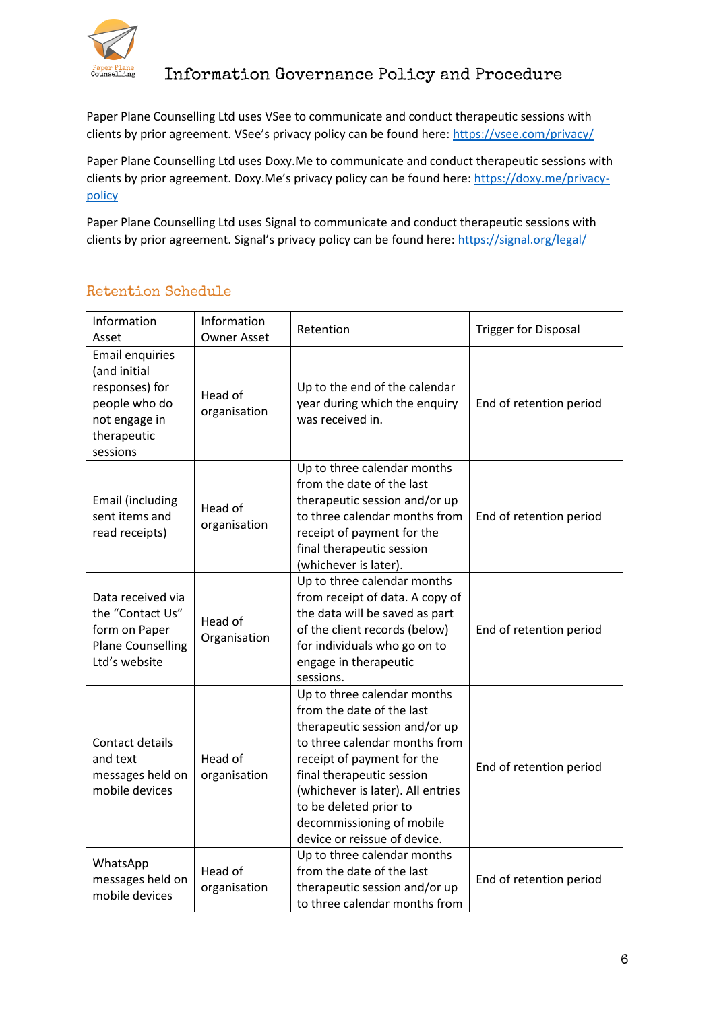

Paper Plane Counselling Ltd uses VSee to communicate and conduct therapeutic sessions with clients by prior agreement. VSee's privacy policy can be found here: <https://vsee.com/privacy/>

Paper Plane Counselling Ltd uses Doxy.Me to communicate and conduct therapeutic sessions with clients by prior agreement. Doxy.Me's privacy policy can be found here: [https://doxy.me/privacy](https://doxy.me/privacy-policy)[policy](https://doxy.me/privacy-policy)

Paper Plane Counselling Ltd uses Signal to communicate and conduct therapeutic sessions with clients by prior agreement. Signal's privacy policy can be found here: <https://signal.org/legal/>

### <span id="page-5-0"></span>Retention Schedule

| Information<br>Asset                                                                                                  | Information<br><b>Owner Asset</b> | Retention                                                                                                                                                                                                                                                                                                         | <b>Trigger for Disposal</b> |
|-----------------------------------------------------------------------------------------------------------------------|-----------------------------------|-------------------------------------------------------------------------------------------------------------------------------------------------------------------------------------------------------------------------------------------------------------------------------------------------------------------|-----------------------------|
| <b>Email enquiries</b><br>(and initial<br>responses) for<br>people who do<br>not engage in<br>therapeutic<br>sessions | Head of<br>organisation           | Up to the end of the calendar<br>year during which the enquiry<br>was received in.                                                                                                                                                                                                                                | End of retention period     |
| Email (including<br>sent items and<br>read receipts)                                                                  | Head of<br>organisation           | Up to three calendar months<br>from the date of the last<br>therapeutic session and/or up<br>to three calendar months from<br>receipt of payment for the<br>final therapeutic session<br>(whichever is later).                                                                                                    | End of retention period     |
| Data received via<br>the "Contact Us"<br>form on Paper<br><b>Plane Counselling</b><br>Ltd's website                   | Head of<br>Organisation           | Up to three calendar months<br>from receipt of data. A copy of<br>the data will be saved as part<br>of the client records (below)<br>for individuals who go on to<br>engage in therapeutic<br>sessions.                                                                                                           | End of retention period     |
| Contact details<br>and text<br>messages held on<br>mobile devices                                                     | Head of<br>organisation           | Up to three calendar months<br>from the date of the last<br>therapeutic session and/or up<br>to three calendar months from<br>receipt of payment for the<br>final therapeutic session<br>(whichever is later). All entries<br>to be deleted prior to<br>decommissioning of mobile<br>device or reissue of device. | End of retention period     |
| WhatsApp<br>messages held on<br>mobile devices                                                                        | Head of<br>organisation           | Up to three calendar months<br>from the date of the last<br>therapeutic session and/or up<br>to three calendar months from                                                                                                                                                                                        | End of retention period     |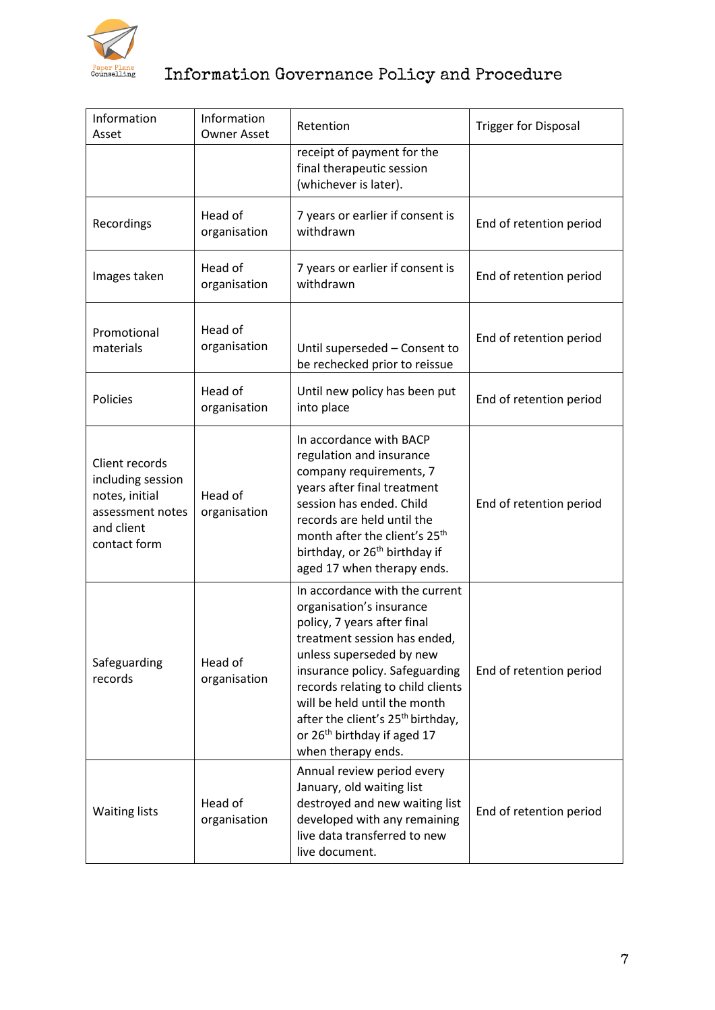

| Information<br>Asset                                                                                    | Information<br><b>Owner Asset</b> | Retention                                                                                                                                                                                                                                                                                                                                                                      | <b>Trigger for Disposal</b> |
|---------------------------------------------------------------------------------------------------------|-----------------------------------|--------------------------------------------------------------------------------------------------------------------------------------------------------------------------------------------------------------------------------------------------------------------------------------------------------------------------------------------------------------------------------|-----------------------------|
|                                                                                                         |                                   | receipt of payment for the<br>final therapeutic session<br>(whichever is later).                                                                                                                                                                                                                                                                                               |                             |
| Recordings                                                                                              | Head of<br>organisation           | 7 years or earlier if consent is<br>withdrawn                                                                                                                                                                                                                                                                                                                                  | End of retention period     |
| Images taken                                                                                            | Head of<br>organisation           | 7 years or earlier if consent is<br>withdrawn                                                                                                                                                                                                                                                                                                                                  | End of retention period     |
| Promotional<br>materials                                                                                | Head of<br>organisation           | Until superseded - Consent to<br>be rechecked prior to reissue                                                                                                                                                                                                                                                                                                                 | End of retention period     |
| Policies                                                                                                | Head of<br>organisation           | Until new policy has been put<br>into place                                                                                                                                                                                                                                                                                                                                    | End of retention period     |
| Client records<br>including session<br>notes, initial<br>assessment notes<br>and client<br>contact form | Head of<br>organisation           | In accordance with BACP<br>regulation and insurance<br>company requirements, 7<br>years after final treatment<br>session has ended. Child<br>records are held until the<br>month after the client's 25 <sup>th</sup><br>birthday, or 26 <sup>th</sup> birthday if<br>aged 17 when therapy ends.                                                                                | End of retention period     |
| Safeguarding<br>records                                                                                 | Head of<br>organisation           | In accordance with the current<br>organisation's insurance<br>policy, 7 years after final<br>treatment session has ended,<br>unless superseded by new<br>insurance policy. Safeguarding<br>records relating to child clients<br>will be held until the month<br>after the client's 25 <sup>th</sup> birthday,<br>or 26 <sup>th</sup> birthday if aged 17<br>when therapy ends. | End of retention period     |
| <b>Waiting lists</b>                                                                                    | Head of<br>organisation           | Annual review period every<br>January, old waiting list<br>destroyed and new waiting list<br>developed with any remaining<br>live data transferred to new<br>live document.                                                                                                                                                                                                    | End of retention period     |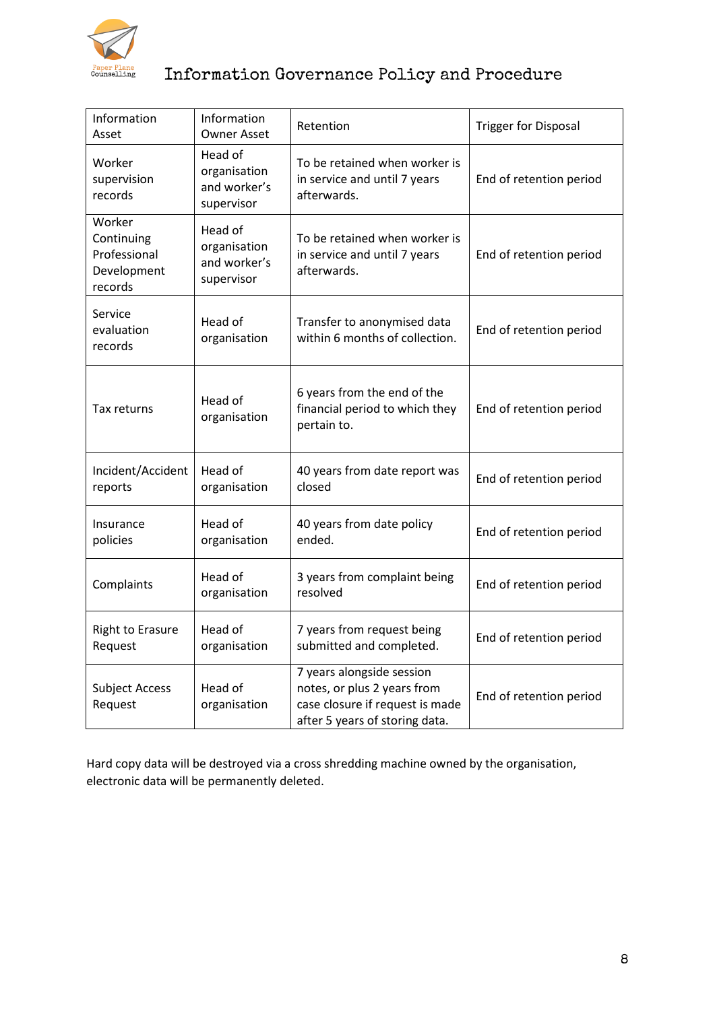

| Information<br>Asset                                           | Information<br><b>Owner Asset</b>                     | Retention                                                                                                                     | <b>Trigger for Disposal</b> |
|----------------------------------------------------------------|-------------------------------------------------------|-------------------------------------------------------------------------------------------------------------------------------|-----------------------------|
| Worker<br>supervision<br>records                               | Head of<br>organisation<br>and worker's<br>supervisor | To be retained when worker is<br>in service and until 7 years<br>afterwards.                                                  | End of retention period     |
| Worker<br>Continuing<br>Professional<br>Development<br>records | Head of<br>organisation<br>and worker's<br>supervisor | To be retained when worker is<br>in service and until 7 years<br>afterwards.                                                  | End of retention period     |
| Service<br>evaluation<br>records                               | Head of<br>organisation                               | Transfer to anonymised data<br>within 6 months of collection.                                                                 | End of retention period     |
| Tax returns                                                    | Head of<br>organisation                               | 6 years from the end of the<br>financial period to which they<br>pertain to.                                                  | End of retention period     |
| Incident/Accident<br>reports                                   | Head of<br>organisation                               | 40 years from date report was<br>closed                                                                                       | End of retention period     |
| Insurance<br>policies                                          | Head of<br>organisation                               | 40 years from date policy<br>ended.                                                                                           | End of retention period     |
| Complaints                                                     | Head of<br>organisation                               | 3 years from complaint being<br>resolved                                                                                      | End of retention period     |
| <b>Right to Erasure</b><br>Request                             | Head of<br>organisation                               | 7 years from request being<br>submitted and completed.                                                                        | End of retention period     |
| <b>Subject Access</b><br>Request                               | Head of<br>organisation                               | 7 years alongside session<br>notes, or plus 2 years from<br>case closure if request is made<br>after 5 years of storing data. | End of retention period     |

Hard copy data will be destroyed via a cross shredding machine owned by the organisation, electronic data will be permanently deleted.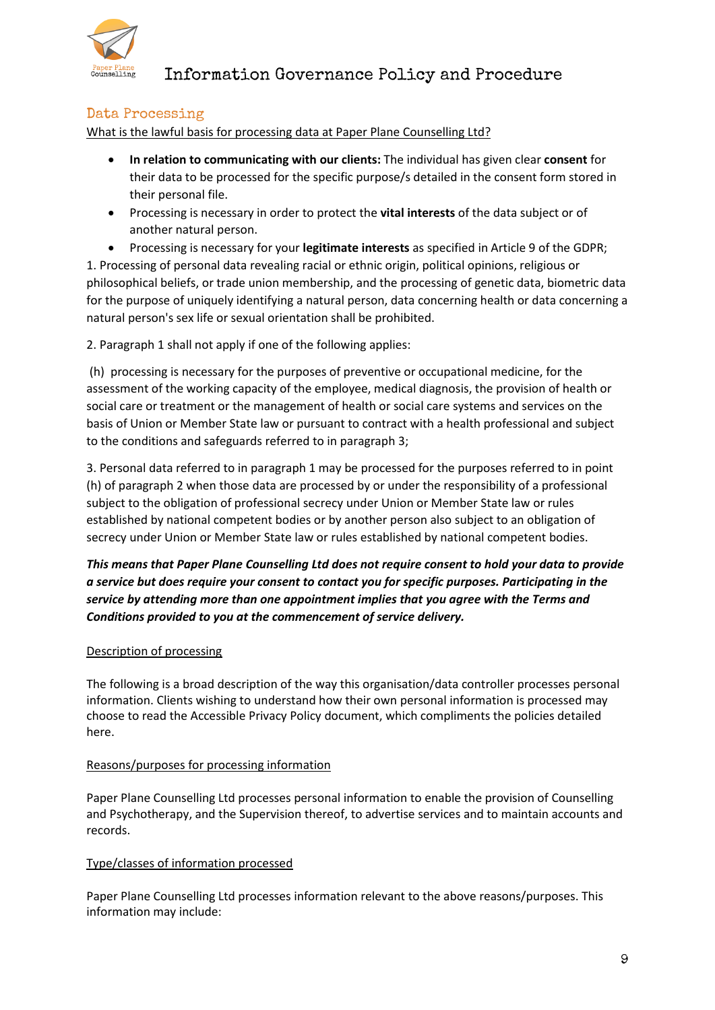

### <span id="page-8-0"></span>Data Processing

What is the lawful basis for processing data at Paper Plane Counselling Ltd?

- **In relation to communicating with our clients:** The individual has given clear **consent** for their data to be processed for the specific purpose/s detailed in the consent form stored in their personal file.
- Processing is necessary in order to protect the **vital interests** of the data subject or of another natural person.
- Processing is necessary for your **legitimate interests** as specified in Article 9 of the GDPR; 1. Processing of personal data revealing racial or ethnic origin, political opinions, religious or philosophical beliefs, or trade union membership, and the processing of genetic data, biometric data for the purpose of uniquely identifying a natural person, data concerning health or data concerning a natural person's sex life or sexual orientation shall be prohibited.

2. Paragraph 1 shall not apply if one of the following applies:

(h) processing is necessary for the purposes of preventive or occupational medicine, for the assessment of the working capacity of the employee, medical diagnosis, the provision of health or social care or treatment or the management of health or social care systems and services on the basis of Union or Member State law or pursuant to contract with a health professional and subject to the conditions and safeguards referred to in paragraph 3;

3. Personal data referred to in paragraph 1 may be processed for the purposes referred to in point (h) of paragraph 2 when those data are processed by or under the responsibility of a professional subject to the obligation of professional secrecy under Union or Member State law or rules established by national competent bodies or by another person also subject to an obligation of secrecy under Union or Member State law or rules established by national competent bodies.

*This means that Paper Plane Counselling Ltd does not require consent to hold your data to provide a service but does require your consent to contact you for specific purposes. Participating in the service by attending more than one appointment implies that you agree with the Terms and Conditions provided to you at the commencement of service delivery.*

### Description of processing

The following is a broad description of the way this organisation/data controller processes personal information. Clients wishing to understand how their own personal information is processed may choose to read the Accessible Privacy Policy document, which compliments the policies detailed here.

#### Reasons/purposes for processing information

Paper Plane Counselling Ltd processes personal information to enable the provision of Counselling and Psychotherapy, and the Supervision thereof, to advertise services and to maintain accounts and records.

### Type/classes of information processed

Paper Plane Counselling Ltd processes information relevant to the above reasons/purposes. This information may include: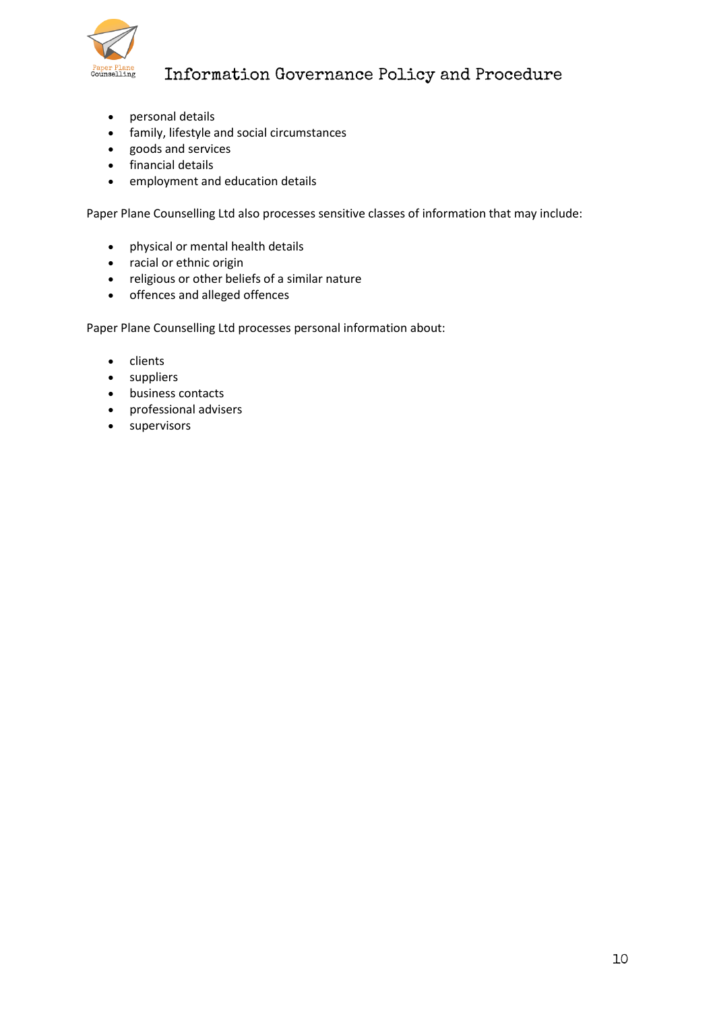

- personal details
- family, lifestyle and social circumstances
- goods and services
- financial details
- employment and education details

Paper Plane Counselling Ltd also processes sensitive classes of information that may include:

- physical or mental health details
- racial or ethnic origin
- religious or other beliefs of a similar nature
- offences and alleged offences

Paper Plane Counselling Ltd processes personal information about:

- clients
- suppliers
- business contacts
- professional advisers
- supervisors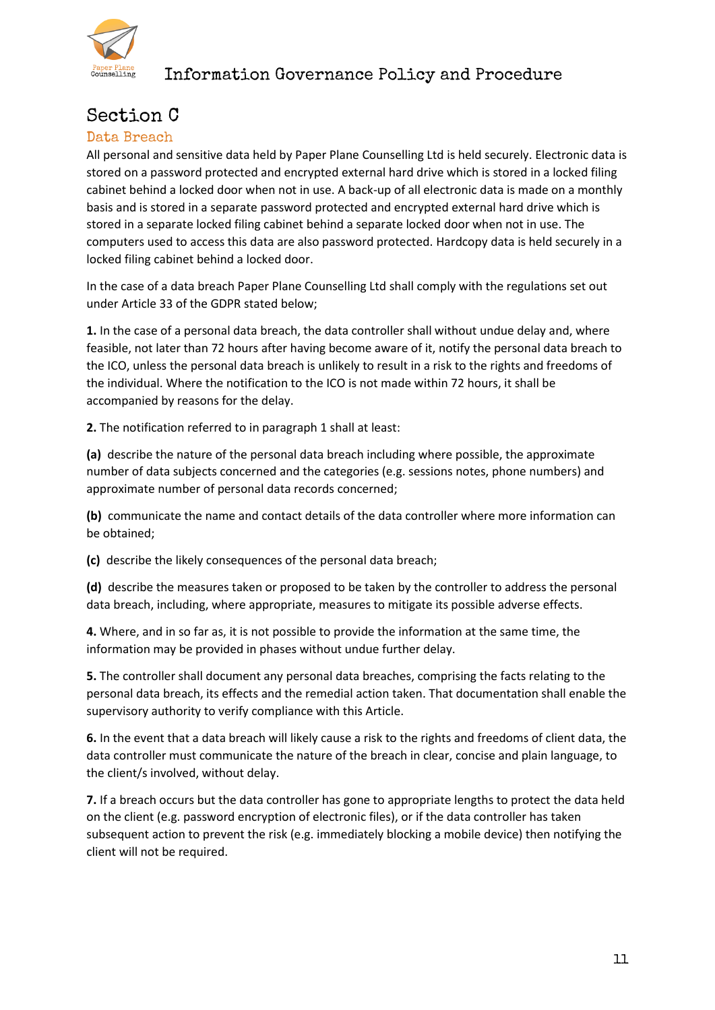

## <span id="page-10-0"></span>Section C

### <span id="page-10-1"></span>Data Breach

All personal and sensitive data held by Paper Plane Counselling Ltd is held securely. Electronic data is stored on a password protected and encrypted external hard drive which is stored in a locked filing cabinet behind a locked door when not in use. A back-up of all electronic data is made on a monthly basis and is stored in a separate password protected and encrypted external hard drive which is stored in a separate locked filing cabinet behind a separate locked door when not in use. The computers used to access this data are also password protected. Hardcopy data is held securely in a locked filing cabinet behind a locked door.

In the case of a data breach Paper Plane Counselling Ltd shall comply with the regulations set out under Article 33 of the GDPR stated below;

**1.** In the case of a personal data breach, the data controller shall without undue delay and, where feasible, not later than 72 hours after having become aware of it, notify the personal data breach to the ICO, unless the personal data breach is unlikely to result in a risk to the rights and freedoms of the individual. Where the notification to the ICO is not made within 72 hours, it shall be accompanied by reasons for the delay.

**2.** The notification referred to in paragraph 1 shall at least:

**(a)** describe the nature of the personal data breach including where possible, the approximate number of data subjects concerned and the categories (e.g. sessions notes, phone numbers) and approximate number of personal data records concerned;

**(b)** communicate the name and contact details of the data controller where more information can be obtained;

**(c)** describe the likely consequences of the personal data breach;

**(d)** describe the measures taken or proposed to be taken by the controller to address the personal data breach, including, where appropriate, measures to mitigate its possible adverse effects.

**4.** Where, and in so far as, it is not possible to provide the information at the same time, the information may be provided in phases without undue further delay.

**5.** The controller shall document any personal data breaches, comprising the facts relating to the personal data breach, its effects and the remedial action taken. That documentation shall enable the supervisory authority to verify compliance with this Article.

**6.** In the event that a data breach will likely cause a risk to the rights and freedoms of client data, the data controller must communicate the nature of the breach in clear, concise and plain language, to the client/s involved, without delay.

**7.** If a breach occurs but the data controller has gone to appropriate lengths to protect the data held on the client (e.g. password encryption of electronic files), or if the data controller has taken subsequent action to prevent the risk (e.g. immediately blocking a mobile device) then notifying the client will not be required.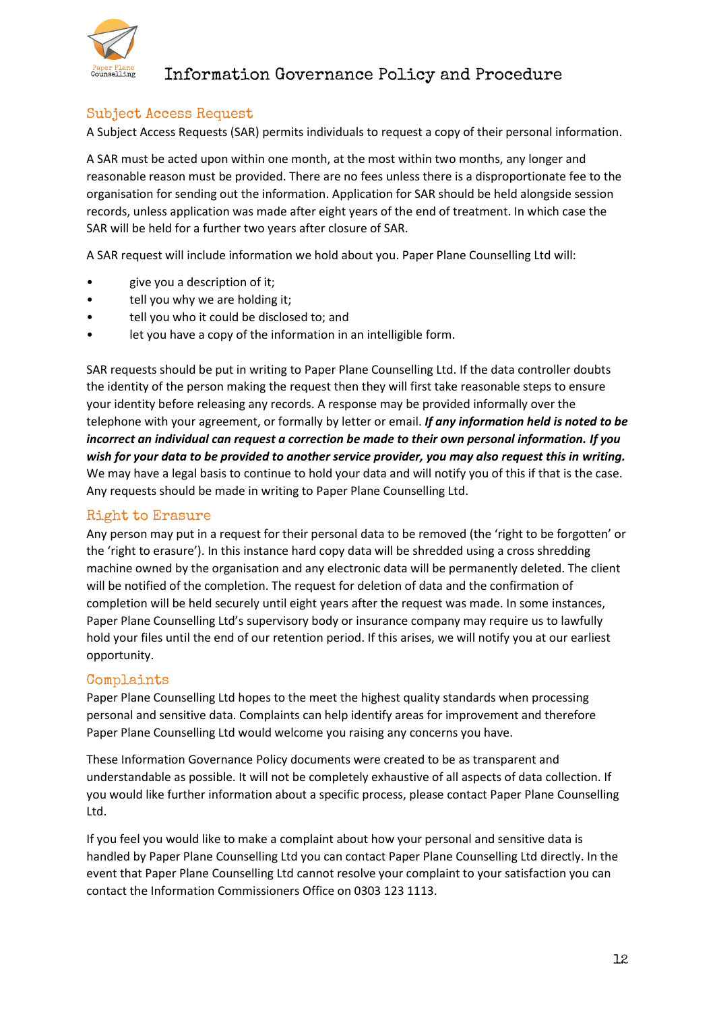

### <span id="page-11-0"></span>Subject Access Request

A Subject Access Requests (SAR) permits individuals to request a copy of their personal information.

A SAR must be acted upon within one month, at the most within two months, any longer and reasonable reason must be provided. There are no fees unless there is a disproportionate fee to the organisation for sending out the information. Application for SAR should be held alongside session records, unless application was made after eight years of the end of treatment. In which case the SAR will be held for a further two years after closure of SAR.

A SAR request will include information we hold about you. Paper Plane Counselling Ltd will:

- give you a description of it;
- tell you why we are holding it;
- tell you who it could be disclosed to; and
- let you have a copy of the information in an intelligible form.

SAR requests should be put in writing to Paper Plane Counselling Ltd. If the data controller doubts the identity of the person making the request then they will first take reasonable steps to ensure your identity before releasing any records. A response may be provided informally over the telephone with your agreement, or formally by letter or email. *If any information held is noted to be incorrect an individual can request a correction be made to their own personal information. If you wish for your data to be provided to another service provider, you may also request this in writing.* We may have a legal basis to continue to hold your data and will notify you of this if that is the case. Any requests should be made in writing to Paper Plane Counselling Ltd.

### <span id="page-11-1"></span>Right to Erasure

Any person may put in a request for their personal data to be removed (the 'right to be forgotten' or the 'right to erasure'). In this instance hard copy data will be shredded using a cross shredding machine owned by the organisation and any electronic data will be permanently deleted. The client will be notified of the completion. The request for deletion of data and the confirmation of completion will be held securely until eight years after the request was made. In some instances, Paper Plane Counselling Ltd's supervisory body or insurance company may require us to lawfully hold your files until the end of our retention period. If this arises, we will notify you at our earliest opportunity.

### <span id="page-11-2"></span>Complaints

Paper Plane Counselling Ltd hopes to the meet the highest quality standards when processing personal and sensitive data. Complaints can help identify areas for improvement and therefore Paper Plane Counselling Ltd would welcome you raising any concerns you have.

These Information Governance Policy documents were created to be as transparent and understandable as possible. It will not be completely exhaustive of all aspects of data collection. If you would like further information about a specific process, please contact Paper Plane Counselling Ltd.

If you feel you would like to make a complaint about how your personal and sensitive data is handled by Paper Plane Counselling Ltd you can contact Paper Plane Counselling Ltd directly. In the event that Paper Plane Counselling Ltd cannot resolve your complaint to your satisfaction you can contact the Information Commissioners Office on 0303 123 1113.